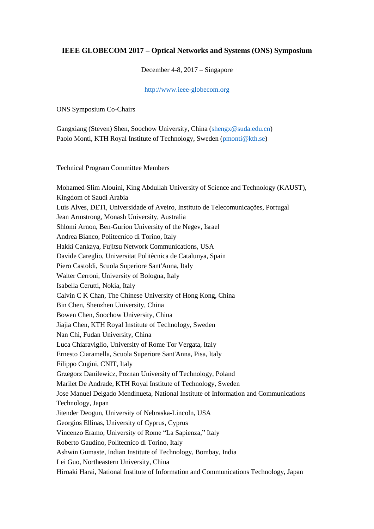## **IEEE GLOBECOM 2017 – Optical Networks and Systems (ONS) Symposium**

December 4-8, 2017 – Singapore

[http://www.ieee-globecom.org](http://www.ieee-globecom.org/)

ONS Symposium Co-Chairs

Gangxiang (Steven) Shen, Soochow University, China [\(shengx@suda.edu.cn\)](mailto:shengx@suda.edu.cn) Paolo Monti, KTH Royal Institute of Technology, Sweden [\(pmonti@kth.se\)](mailto:pmonti@kth.se)

Technical Program Committee Members

Mohamed-Slim Alouini, King Abdullah University of Science and Technology (KAUST), Kingdom of Saudi Arabia Luis Alves, DETI, Universidade of Aveiro, Instituto de Telecomunicações, Portugal Jean Armstrong, Monash University, Australia Shlomi Arnon, Ben-Gurion University of the Negev, Israel Andrea Bianco, Politecnico di Torino, Italy Hakki Cankaya, Fujitsu Network Communications, USA Davide Careglio, Universitat Politècnica de Catalunya, Spain Piero Castoldi, Scuola Superiore Sant'Anna, Italy Walter Cerroni, University of Bologna, Italy Isabella Cerutti, Nokia, Italy Calvin C K Chan, The Chinese University of Hong Kong, China Bin Chen, Shenzhen University, China Bowen Chen, Soochow University, China Jiajia Chen, KTH Royal Institute of Technology, Sweden Nan Chi, Fudan University, China Luca Chiaraviglio, University of Rome Tor Vergata, Italy Ernesto Ciaramella, Scuola Superiore Sant'Anna, Pisa, Italy Filippo Cugini, CNIT, Italy Grzegorz Danilewicz, Poznan University of Technology, Poland Marilet De Andrade, KTH Royal Institute of Technology, Sweden Jose Manuel Delgado Mendinueta, National Institute of Information and Communications Technology, Japan Jitender Deogun, University of Nebraska-Lincoln, USA Georgios Ellinas, University of Cyprus, Cyprus Vincenzo Eramo, University of Rome "La Sapienza," Italy Roberto Gaudino, Politecnico di Torino, Italy Ashwin Gumaste, Indian Institute of Technology, Bombay, India Lei Guo, Northeastern University, China Hiroaki Harai, National Institute of Information and Communications Technology, Japan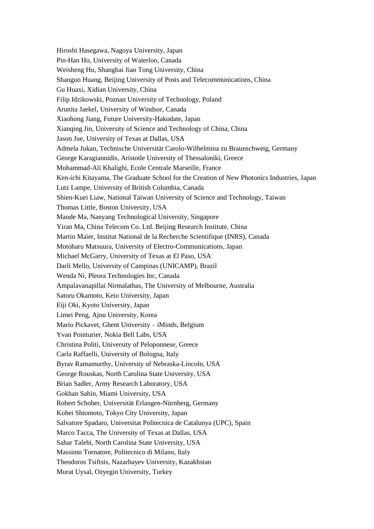Hiroshi Hasegawa, Nagoya University, Japan Pin-Han Ho, University of Waterloo, Canada Weisheng Hu, Shanghai Jiao Tong University, China Shanguo Huang, Beijing University of Posts and Telecommunications, China Gu Huaxi, Xidian University, China Filip Idzikowski, Poznan University of Technology, Poland Arunita Jaekel, University of Windsor, Canada Xiaohong Jiang, Future University-Hakodate, Japan Xianqing Jin, University of Science and Technology of China, China Jason Jue, University of Texas at Dallas, USA Admela Jukan, Technische Universität Carolo-Wilhelmina zu Braunschweig, Germany George Karagiannidis, Aristotle University of Thessaloniki, Greece Mohammad-Ali Khalighi, Ecole Centrale Marseille, France Ken-ichi Kitayama, The Graduate School for the Creation of New Photonics Industries, Japan Lutz Lampe, University of British Columbia, Canada Shien-Kuei Liaw, National Taiwan University of Science and Technology, Taiwan Thomas Little, Boston University, USA Maode Ma, Nanyang Technological University, Singapore Yiran Ma, China Telecom Co. Ltd. Beijing Research Institute, China Martin Maier, Institut National de la Recherche Scientifique (INRS), Canada Motoharu Matsuura, University of Electro-Communications, Japan Michael McGarry, University of Texas at El Paso, USA Darli Mello, University of Campinas (UNICAMP), Brazil Wenda Ni, Pleora Technologies Inc, Canada Ampalavanapillai Nirmalathas, The University of Melbourne, Australia Satoru Okamoto, Keio University, Japan Eiji Oki, Kyoto University, Japan Limei Peng, Ajou University, Korea Mario Pickavet, Ghent University – iMinds, Belgium Yvan Pointurier, Nokia Bell Labs, USA Christina Politi, University of Peloponnese, Greece Carla Raffaelli, University of Bologna, Italy Byrav Ramamurthy, University of Nebraska-Lincoln, USA George Rouskas, North Carolina State University, USA Brian Sadler, Army Research Laboratory, USA Gokhan Sahin, Miami University, USA Robert Schober, Universität Erlangen-Nürnberg, Germany Kohei Shiomoto, Tokyo City University, Japan Salvatore Spadaro, Universitat Politecnica de Catalunya (UPC), Spain Marco Tacca, The University of Texas at Dallas, USA Sahar Talebi, North Carolina State University, USA Massimo Tornatore, Politecnico di Milano, Italy Theodoros Tsiftsis, Nazarbayev University, Kazakhstan Murat Uysal, Ozyegin University, Turkey